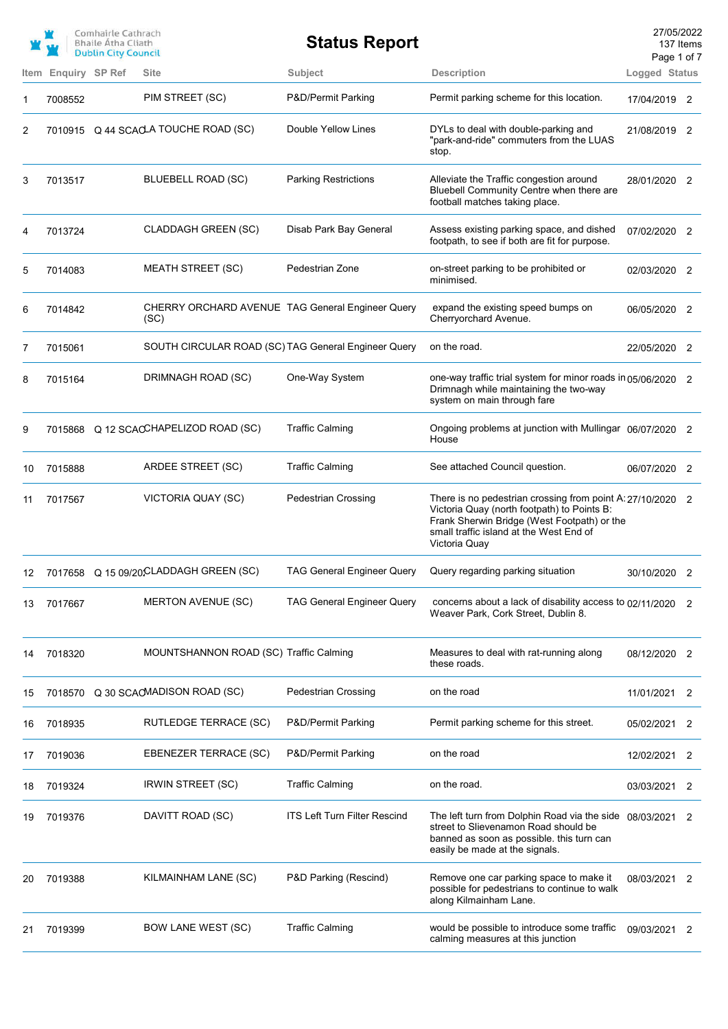|    |                     | Comhairle Cathrach<br><b>Bhaile Atha Cliath</b><br><b>Dublin City Council</b> |                                                          | <b>Status Report</b>                |                                                                                                                                                                                                                      | 27/05/2022<br>Page 1 of 7 | 137 Items |
|----|---------------------|-------------------------------------------------------------------------------|----------------------------------------------------------|-------------------------------------|----------------------------------------------------------------------------------------------------------------------------------------------------------------------------------------------------------------------|---------------------------|-----------|
|    | Item Enquiry SP Ref |                                                                               | <b>Site</b>                                              | Subject                             | <b>Description</b>                                                                                                                                                                                                   | Logged Status             |           |
| 1  | 7008552             |                                                                               | PIM STREET (SC)                                          | P&D/Permit Parking                  | Permit parking scheme for this location.                                                                                                                                                                             | 17/04/2019 2              |           |
| 2  |                     |                                                                               | 7010915 Q 44 SCACLA TOUCHE ROAD (SC)                     | Double Yellow Lines                 | DYLs to deal with double-parking and<br>"park-and-ride" commuters from the LUAS<br>stop.                                                                                                                             | 21/08/2019 2              |           |
| 3  | 7013517             |                                                                               | BLUEBELL ROAD (SC)                                       | <b>Parking Restrictions</b>         | Alleviate the Traffic congestion around<br>Bluebell Community Centre when there are<br>football matches taking place.                                                                                                | 28/01/2020 2              |           |
| 4  | 7013724             |                                                                               | <b>CLADDAGH GREEN (SC)</b>                               | Disab Park Bay General              | Assess existing parking space, and dished<br>footpath, to see if both are fit for purpose.                                                                                                                           | 07/02/2020 2              |           |
| 5  | 7014083             |                                                                               | <b>MEATH STREET (SC)</b>                                 | Pedestrian Zone                     | on-street parking to be prohibited or<br>minimised.                                                                                                                                                                  | 02/03/2020 2              |           |
| 6  | 7014842             |                                                                               | CHERRY ORCHARD AVENUE TAG General Engineer Query<br>(SC) |                                     | expand the existing speed bumps on<br>Cherryorchard Avenue.                                                                                                                                                          | 06/05/2020 2              |           |
| 7  | 7015061             |                                                                               | SOUTH CIRCULAR ROAD (SC) TAG General Engineer Query      |                                     | on the road.                                                                                                                                                                                                         | 22/05/2020 2              |           |
| 8  | 7015164             |                                                                               | DRIMNAGH ROAD (SC)                                       | One-Way System                      | one-way traffic trial system for minor roads in 05/06/2020 2<br>Drimnagh while maintaining the two-way<br>system on main through fare                                                                                |                           |           |
| 9  | 7015868             |                                                                               | Q 12 SCACCHAPELIZOD ROAD (SC)                            | <b>Traffic Calming</b>              | Ongoing problems at junction with Mullingar 06/07/2020 2<br>House                                                                                                                                                    |                           |           |
| 10 | 7015888             |                                                                               | ARDEE STREET (SC)                                        | <b>Traffic Calming</b>              | See attached Council question.                                                                                                                                                                                       | 06/07/2020 2              |           |
| 11 | 7017567             |                                                                               | VICTORIA QUAY (SC)                                       | <b>Pedestrian Crossing</b>          | There is no pedestrian crossing from point A: 27/10/2020 2<br>Victoria Quay (north footpath) to Points B:<br>Frank Sherwin Bridge (West Footpath) or the<br>small traffic island at the West End of<br>Victoria Quay |                           |           |
| 12 |                     |                                                                               | 7017658 Q 15 09/20 CLADDAGH GREEN (SC)                   | TAG General Engineer Query          | Query regarding parking situation                                                                                                                                                                                    | 30/10/2020                | 2         |
| 13 | 7017667             |                                                                               | MERTON AVENUE (SC)                                       | <b>TAG General Engineer Query</b>   | concerns about a lack of disability access to 02/11/2020 2<br>Weaver Park, Cork Street, Dublin 8.                                                                                                                    |                           |           |
| 14 | 7018320             |                                                                               | MOUNTSHANNON ROAD (SC) Traffic Calming                   |                                     | Measures to deal with rat-running along<br>these roads.                                                                                                                                                              | 08/12/2020 2              |           |
| 15 | 7018570             |                                                                               | Q 30 SCAOMADISON ROAD (SC)                               | <b>Pedestrian Crossing</b>          | on the road                                                                                                                                                                                                          | 11/01/2021                | 2         |
| 16 | 7018935             |                                                                               | RUTLEDGE TERRACE (SC)                                    | P&D/Permit Parking                  | Permit parking scheme for this street.                                                                                                                                                                               | 05/02/2021                | 2         |
| 17 | 7019036             |                                                                               | EBENEZER TERRACE (SC)                                    | P&D/Permit Parking                  | on the road                                                                                                                                                                                                          | 12/02/2021 2              |           |
| 18 | 7019324             |                                                                               | <b>IRWIN STREET (SC)</b>                                 | <b>Traffic Calming</b>              | on the road.                                                                                                                                                                                                         | 03/03/2021                | 2         |
| 19 | 7019376             |                                                                               | DAVITT ROAD (SC)                                         | <b>ITS Left Turn Filter Rescind</b> | The left turn from Dolphin Road via the side 08/03/2021 2<br>street to Slievenamon Road should be<br>banned as soon as possible. this turn can<br>easily be made at the signals.                                     |                           |           |
| 20 | 7019388             |                                                                               | KILMAINHAM LANE (SC)                                     | P&D Parking (Rescind)               | Remove one car parking space to make it<br>possible for pedestrians to continue to walk<br>along Kilmainham Lane.                                                                                                    | 08/03/2021                | 2         |
| 21 | 7019399             |                                                                               | <b>BOW LANE WEST (SC)</b>                                | <b>Traffic Calming</b>              | would be possible to introduce some traffic<br>calming measures at this junction                                                                                                                                     | 09/03/2021                | 2         |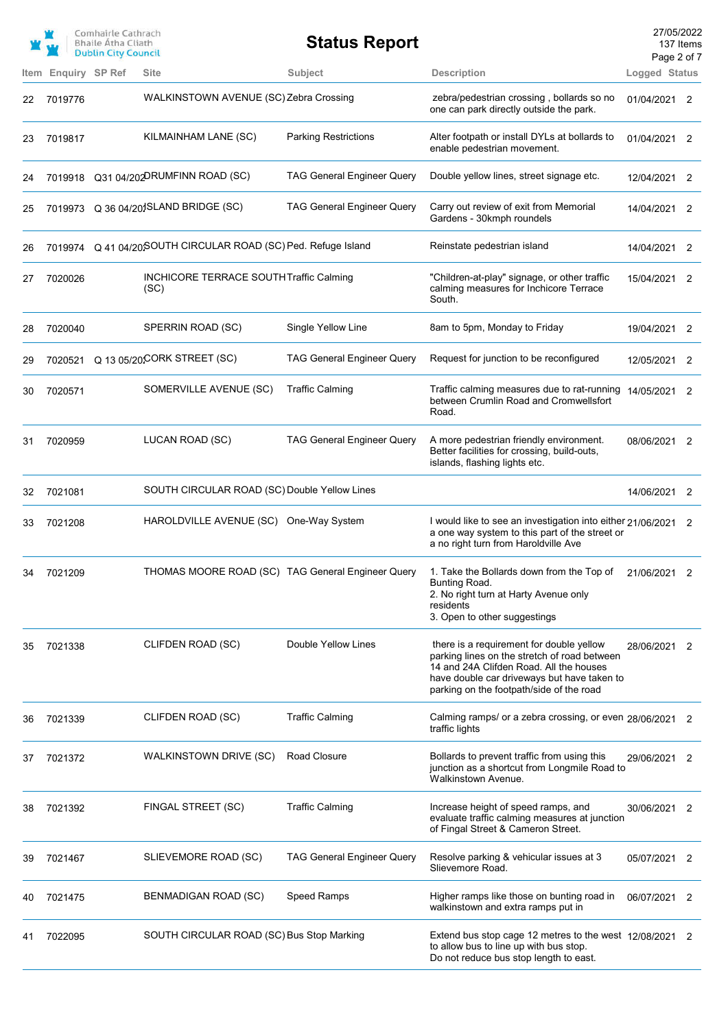|      |                       | Comhairle Cathrach<br><b>Bhaile Atha Cliath</b><br><b>Dublin City Council</b> |                                                               | <b>Status Report</b>              |                                                                                                                                                                                                                                | 27/05/2022<br>Page 2 of 7 | 137 Items |
|------|-----------------------|-------------------------------------------------------------------------------|---------------------------------------------------------------|-----------------------------------|--------------------------------------------------------------------------------------------------------------------------------------------------------------------------------------------------------------------------------|---------------------------|-----------|
| Item | <b>Enquiry SP Ref</b> |                                                                               | Site                                                          | Subject                           | <b>Description</b>                                                                                                                                                                                                             | Logged Status             |           |
| 22   | 7019776               |                                                                               | WALKINSTOWN AVENUE (SC) Zebra Crossing                        |                                   | zebra/pedestrian crossing, bollards so no<br>one can park directly outside the park.                                                                                                                                           | 01/04/2021 2              |           |
| 23   | 7019817               |                                                                               | KILMAINHAM LANE (SC)                                          | <b>Parking Restrictions</b>       | Alter footpath or install DYLs at bollards to<br>enable pedestrian movement.                                                                                                                                                   | 01/04/2021 2              |           |
| 24   |                       |                                                                               | 7019918 Q31 04/202DRUMFINN ROAD (SC)                          | <b>TAG General Engineer Query</b> | Double yellow lines, street signage etc.                                                                                                                                                                                       | 12/04/2021 2              |           |
| 25   |                       |                                                                               | 7019973 Q 36 04/201SLAND BRIDGE (SC)                          | <b>TAG General Engineer Query</b> | Carry out review of exit from Memorial<br>Gardens - 30kmph roundels                                                                                                                                                            | 14/04/2021 2              |           |
| 26   |                       |                                                                               | 7019974 Q 41 04/20SOUTH CIRCULAR ROAD (SC) Ped. Refuge Island |                                   | Reinstate pedestrian island                                                                                                                                                                                                    | 14/04/2021                | 2         |
| 27   | 7020026               |                                                                               | INCHICORE TERRACE SOUTH Traffic Calming<br>(SC)               |                                   | "Children-at-play" signage, or other traffic<br>calming measures for Inchicore Terrace<br>South.                                                                                                                               | 15/04/2021 2              |           |
| 28   | 7020040               |                                                                               | SPERRIN ROAD (SC)                                             | Single Yellow Line                | 8am to 5pm, Monday to Friday                                                                                                                                                                                                   | 19/04/2021                | 2         |
| 29   | 7020521               |                                                                               | Q 13 05/20CORK STREET (SC)                                    | <b>TAG General Engineer Query</b> | Request for junction to be reconfigured                                                                                                                                                                                        | 12/05/2021                | 2         |
| 30   | 7020571               |                                                                               | SOMERVILLE AVENUE (SC)                                        | <b>Traffic Calming</b>            | Traffic calming measures due to rat-running<br>between Crumlin Road and Cromwellsfort<br>Road.                                                                                                                                 | 14/05/2021 2              |           |
| 31   | 7020959               |                                                                               | LUCAN ROAD (SC)                                               | <b>TAG General Engineer Query</b> | A more pedestrian friendly environment.<br>Better facilities for crossing, build-outs,<br>islands, flashing lights etc.                                                                                                        | 08/06/2021 2              |           |
| 32   | 7021081               |                                                                               | SOUTH CIRCULAR ROAD (SC) Double Yellow Lines                  |                                   |                                                                                                                                                                                                                                | 14/06/2021 2              |           |
| 33   | 7021208               |                                                                               | HAROLDVILLE AVENUE (SC)                                       | One-Way System                    | I would like to see an investigation into either 21/06/2021 2<br>a one way system to this part of the street or<br>a no right turn from Haroldville Ave                                                                        |                           |           |
|      | 7021209               |                                                                               |                                                               |                                   | THOMAS MOORE ROAD (SC) TAG General Engineer Query 1. Take the Bollards down from the Top of 21/06/2021 2<br>Bunting Road.<br>2. No right turn at Harty Avenue only<br>residents<br>3. Open to other suggestings                |                           |           |
| 35   | 7021338               |                                                                               | CLIFDEN ROAD (SC)                                             | Double Yellow Lines               | there is a requirement for double yellow<br>parking lines on the stretch of road between<br>14 and 24A Clifden Road. All the houses<br>have double car driveways but have taken to<br>parking on the footpath/side of the road | 28/06/2021                | 2         |
| 36   | 7021339               |                                                                               | CLIFDEN ROAD (SC)                                             | <b>Traffic Calming</b>            | Calming ramps/ or a zebra crossing, or even 28/06/2021<br>traffic lights                                                                                                                                                       |                           | 2         |
| 37   | 7021372               |                                                                               | WALKINSTOWN DRIVE (SC)                                        | Road Closure                      | Bollards to prevent traffic from using this<br>junction as a shortcut from Longmile Road to<br>Walkinstown Avenue.                                                                                                             | 29/06/2021 2              |           |
| 38   | 7021392               |                                                                               | FINGAL STREET (SC)                                            | <b>Traffic Calming</b>            | Increase height of speed ramps, and<br>evaluate traffic calming measures at junction<br>of Fingal Street & Cameron Street.                                                                                                     | 30/06/2021 2              |           |
| 39   | 7021467               |                                                                               | SLIEVEMORE ROAD (SC)                                          | <b>TAG General Engineer Query</b> | Resolve parking & vehicular issues at 3<br>Slievemore Road.                                                                                                                                                                    | 05/07/2021 2              |           |
| 40   | 7021475               |                                                                               | BENMADIGAN ROAD (SC)                                          | Speed Ramps                       | Higher ramps like those on bunting road in<br>walkinstown and extra ramps put in                                                                                                                                               | 06/07/2021 2              |           |
|      | 7022095               |                                                                               | SOUTH CIRCULAR ROAD (SC) Bus Stop Marking                     |                                   | Extend bus stop cage 12 metres to the west 12/08/2021 2<br>to allow bus to line up with bus stop.<br>Do not reduce bus stop length to east.                                                                                    |                           |           |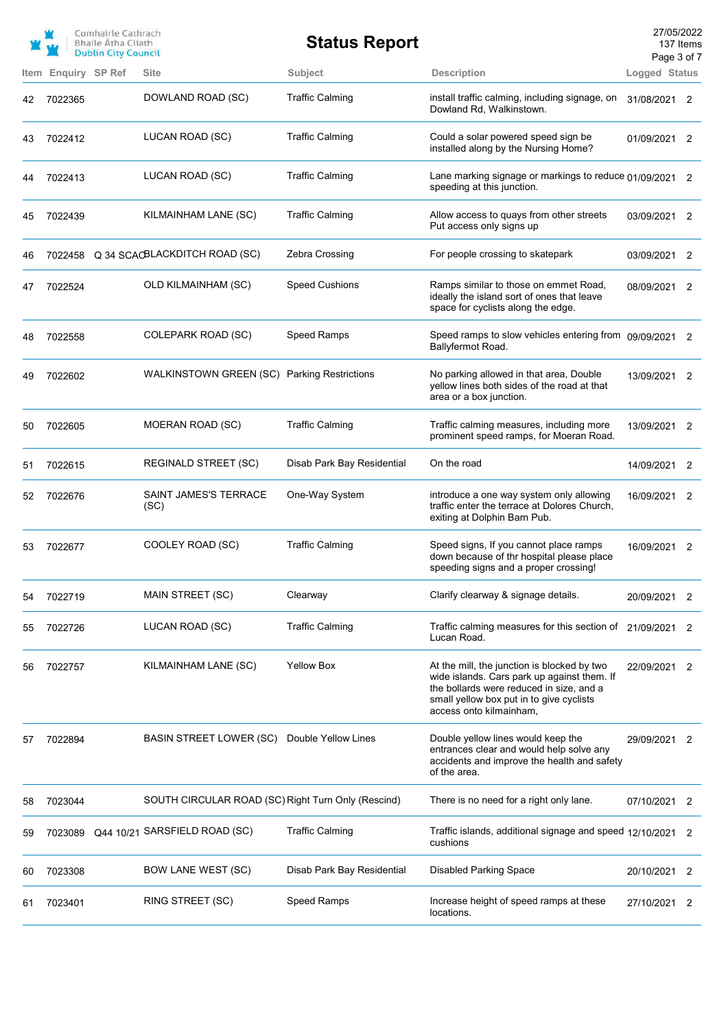|    |                     | Comhairle Cathrach<br><b>Bhaile Atha Cliath</b><br><b>Dublin City Council</b> |                                                    | <b>Status Report</b>       |                                                                                                                                                                                                               |               | 27/05/2022<br>137 Items<br>Page 3 of 7 |
|----|---------------------|-------------------------------------------------------------------------------|----------------------------------------------------|----------------------------|---------------------------------------------------------------------------------------------------------------------------------------------------------------------------------------------------------------|---------------|----------------------------------------|
|    | Item Enquiry SP Ref |                                                                               | <b>Site</b>                                        | <b>Subject</b>             | <b>Description</b>                                                                                                                                                                                            | Logged Status |                                        |
| 42 | 7022365             |                                                                               | DOWLAND ROAD (SC)                                  | <b>Traffic Calming</b>     | install traffic calming, including signage, on<br>Dowland Rd, Walkinstown.                                                                                                                                    | 31/08/2021 2  |                                        |
| 43 | 7022412             |                                                                               | LUCAN ROAD (SC)                                    | <b>Traffic Calming</b>     | Could a solar powered speed sign be<br>installed along by the Nursing Home?                                                                                                                                   | 01/09/2021 2  |                                        |
| 44 | 7022413             |                                                                               | LUCAN ROAD (SC)                                    | <b>Traffic Calming</b>     | Lane marking signage or markings to reduce 01/09/2021 2<br>speeding at this junction.                                                                                                                         |               |                                        |
| 45 | 7022439             |                                                                               | KILMAINHAM LANE (SC)                               | <b>Traffic Calming</b>     | Allow access to quays from other streets<br>Put access only signs up                                                                                                                                          | 03/09/2021 2  |                                        |
| 46 | 7022458             |                                                                               | Q 34 SCACBLACKDITCH ROAD (SC)                      | Zebra Crossing             | For people crossing to skatepark                                                                                                                                                                              | 03/09/2021 2  |                                        |
| 47 | 7022524             |                                                                               | <b>OLD KILMAINHAM (SC)</b>                         | <b>Speed Cushions</b>      | Ramps similar to those on emmet Road,<br>ideally the island sort of ones that leave<br>space for cyclists along the edge.                                                                                     | 08/09/2021    | 2                                      |
| 48 | 7022558             |                                                                               | <b>COLEPARK ROAD (SC)</b>                          | Speed Ramps                | Speed ramps to slow vehicles entering from 09/09/2021<br>Ballyfermot Road.                                                                                                                                    |               | 2                                      |
| 49 | 7022602             |                                                                               | WALKINSTOWN GREEN (SC) Parking Restrictions        |                            | No parking allowed in that area, Double<br>yellow lines both sides of the road at that<br>area or a box junction.                                                                                             | 13/09/2021 2  |                                        |
| 50 | 7022605             |                                                                               | MOERAN ROAD (SC)                                   | <b>Traffic Calming</b>     | Traffic calming measures, including more<br>prominent speed ramps, for Moeran Road.                                                                                                                           | 13/09/2021    | 2                                      |
| 51 | 7022615             |                                                                               | <b>REGINALD STREET (SC)</b>                        | Disab Park Bay Residential | On the road                                                                                                                                                                                                   | 14/09/2021    | $\overline{\phantom{0}}^2$             |
| 52 | 7022676             |                                                                               | SAINT JAMES'S TERRACE<br>(SC)                      | One-Way System             | introduce a one way system only allowing<br>traffic enter the terrace at Dolores Church,<br>exiting at Dolphin Barn Pub.                                                                                      | 16/09/2021 2  |                                        |
| 53 | 7022677             |                                                                               | COOLEY ROAD (SC)                                   | <b>Traffic Calming</b>     | Speed signs, If you cannot place ramps<br>down because of thr hospital please place<br>speeding signs and a proper crossing!                                                                                  | 16/09/2021 2  |                                        |
| 54 | 7022719             |                                                                               | MAIN STREET (SC)                                   | Clearway                   | Clarify clearway & signage details.                                                                                                                                                                           | 20/09/2021    | 2                                      |
| 55 | 7022726             |                                                                               | LUCAN ROAD (SC)                                    | <b>Traffic Calming</b>     | Traffic calming measures for this section of<br>Lucan Road.                                                                                                                                                   | 21/09/2021    | 2                                      |
| 56 | 7022757             |                                                                               | KILMAINHAM LANE (SC)                               | <b>Yellow Box</b>          | At the mill, the junction is blocked by two<br>wide islands. Cars park up against them. If<br>the bollards were reduced in size, and a<br>small yellow box put in to give cyclists<br>access onto kilmainham, | 22/09/2021    | 2                                      |
| 57 | 7022894             |                                                                               | <b>BASIN STREET LOWER (SC)</b>                     | Double Yellow Lines        | Double yellow lines would keep the<br>entrances clear and would help solve any<br>accidents and improve the health and safety<br>of the area.                                                                 | 29/09/2021    | 2                                      |
| 58 | 7023044             |                                                                               | SOUTH CIRCULAR ROAD (SC) Right Turn Only (Rescind) |                            | There is no need for a right only lane.                                                                                                                                                                       | 07/10/2021    | 2                                      |
| 59 | 7023089             |                                                                               | Q44 10/21 SARSFIELD ROAD (SC)                      | <b>Traffic Calming</b>     | Traffic islands, additional signage and speed 12/10/2021<br>cushions                                                                                                                                          |               | 2                                      |
| 60 | 7023308             |                                                                               | <b>BOW LANE WEST (SC)</b>                          | Disab Park Bay Residential | <b>Disabled Parking Space</b>                                                                                                                                                                                 | 20/10/2021    | 2                                      |
| 61 | 7023401             |                                                                               | RING STREET (SC)                                   | <b>Speed Ramps</b>         | Increase height of speed ramps at these<br>locations.                                                                                                                                                         | 27/10/2021    | 2                                      |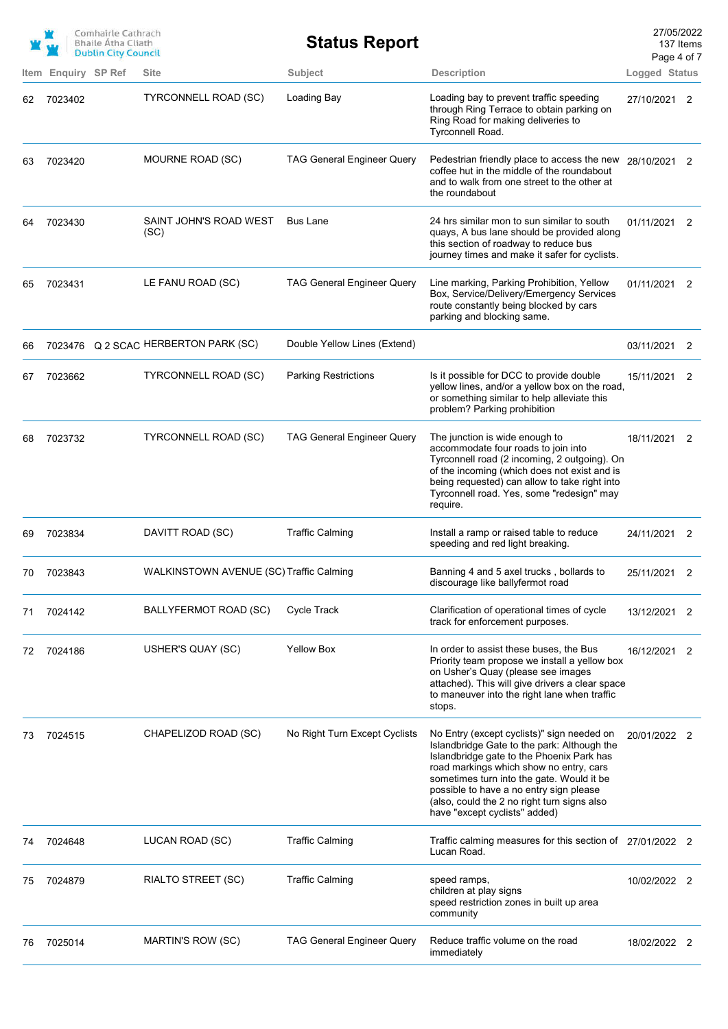|    |                     | Comhairle Cathrach<br><b>Bhaile Atha Cliath</b><br><b>Dublin City Council</b> |                                         | <b>Status Report</b>              |                                                                                                                                                                                                                                                                                                                                                           | 27/05/2022<br>137 Items<br>Page 4 of 7 |   |
|----|---------------------|-------------------------------------------------------------------------------|-----------------------------------------|-----------------------------------|-----------------------------------------------------------------------------------------------------------------------------------------------------------------------------------------------------------------------------------------------------------------------------------------------------------------------------------------------------------|----------------------------------------|---|
|    | Item Enquiry SP Ref |                                                                               | Site                                    | Subject                           | <b>Description</b>                                                                                                                                                                                                                                                                                                                                        | Logged Status                          |   |
| 62 | 7023402             |                                                                               | <b>TYRCONNELL ROAD (SC)</b>             | Loading Bay                       | Loading bay to prevent traffic speeding<br>through Ring Terrace to obtain parking on<br>Ring Road for making deliveries to<br>Tyrconnell Road.                                                                                                                                                                                                            | 27/10/2021 2                           |   |
| 63 | 7023420             |                                                                               | MOURNE ROAD (SC)                        | <b>TAG General Engineer Query</b> | Pedestrian friendly place to access the new 28/10/2021 2<br>coffee hut in the middle of the roundabout<br>and to walk from one street to the other at<br>the roundabout                                                                                                                                                                                   |                                        |   |
| 64 | 7023430             |                                                                               | SAINT JOHN'S ROAD WEST<br>(SC)          | <b>Bus Lane</b>                   | 24 hrs similar mon to sun similar to south<br>quays, A bus lane should be provided along<br>this section of roadway to reduce bus<br>journey times and make it safer for cyclists.                                                                                                                                                                        | 01/11/2021 2                           |   |
| 65 | 7023431             |                                                                               | LE FANU ROAD (SC)                       | <b>TAG General Engineer Query</b> | Line marking, Parking Prohibition, Yellow<br>Box, Service/Delivery/Emergency Services<br>route constantly being blocked by cars<br>parking and blocking same.                                                                                                                                                                                             | 01/11/2021 2                           |   |
| 66 |                     |                                                                               | 7023476 Q 2 SCAC HERBERTON PARK (SC)    | Double Yellow Lines (Extend)      |                                                                                                                                                                                                                                                                                                                                                           | 03/11/2021 2                           |   |
| 67 | 7023662             |                                                                               | <b>TYRCONNELL ROAD (SC)</b>             | <b>Parking Restrictions</b>       | Is it possible for DCC to provide double<br>yellow lines, and/or a yellow box on the road,<br>or something similar to help alleviate this<br>problem? Parking prohibition                                                                                                                                                                                 | 15/11/2021 2                           |   |
| 68 | 7023732             |                                                                               | TYRCONNELL ROAD (SC)                    | <b>TAG General Engineer Query</b> | The junction is wide enough to<br>accommodate four roads to join into<br>Tyrconnell road (2 incoming, 2 outgoing). On<br>of the incoming (which does not exist and is<br>being requested) can allow to take right into<br>Tyrconnell road. Yes, some "redesign" may<br>require.                                                                           | 18/11/2021 2                           |   |
| 69 | 7023834             |                                                                               | DAVITT ROAD (SC)                        | <b>Traffic Calming</b>            | Install a ramp or raised table to reduce<br>speeding and red light breaking.                                                                                                                                                                                                                                                                              | 24/11/2021 2                           |   |
|    | 70 7023843          |                                                                               | WALKINSTOWN AVENUE (SC) Traffic Calming |                                   | Banning 4 and 5 axel trucks, bollards to<br>discourage like ballyfermot road                                                                                                                                                                                                                                                                              | 25/11/2021                             | 2 |
| 71 | 7024142             |                                                                               | BALLYFERMOT ROAD (SC)                   | Cycle Track                       | Clarification of operational times of cycle<br>track for enforcement purposes.                                                                                                                                                                                                                                                                            | 13/12/2021 2                           |   |
| 72 | 7024186             |                                                                               | USHER'S QUAY (SC)                       | <b>Yellow Box</b>                 | In order to assist these buses, the Bus<br>Priority team propose we install a yellow box<br>on Usher's Quay (please see images<br>attached). This will give drivers a clear space<br>to maneuver into the right lane when traffic<br>stops.                                                                                                               | 16/12/2021 2                           |   |
| 73 | 7024515             |                                                                               | CHAPELIZOD ROAD (SC)                    | No Right Turn Except Cyclists     | No Entry (except cyclists)" sign needed on<br>Islandbridge Gate to the park: Although the<br>Islandbridge gate to the Phoenix Park has<br>road markings which show no entry, cars<br>sometimes turn into the gate. Would it be<br>possible to have a no entry sign please<br>(also, could the 2 no right turn signs also<br>have "except cyclists" added) | 20/01/2022 2                           |   |
| 74 | 7024648             |                                                                               | LUCAN ROAD (SC)                         | <b>Traffic Calming</b>            | Traffic calming measures for this section of 27/01/2022 2<br>Lucan Road.                                                                                                                                                                                                                                                                                  |                                        |   |
| 75 | 7024879             |                                                                               | <b>RIALTO STREET (SC)</b>               | <b>Traffic Calming</b>            | speed ramps,<br>children at play signs<br>speed restriction zones in built up area<br>community                                                                                                                                                                                                                                                           | 10/02/2022 2                           |   |
| 76 | 7025014             |                                                                               | MARTIN'S ROW (SC)                       | <b>TAG General Engineer Query</b> | Reduce traffic volume on the road<br>immediately                                                                                                                                                                                                                                                                                                          | 18/02/2022 2                           |   |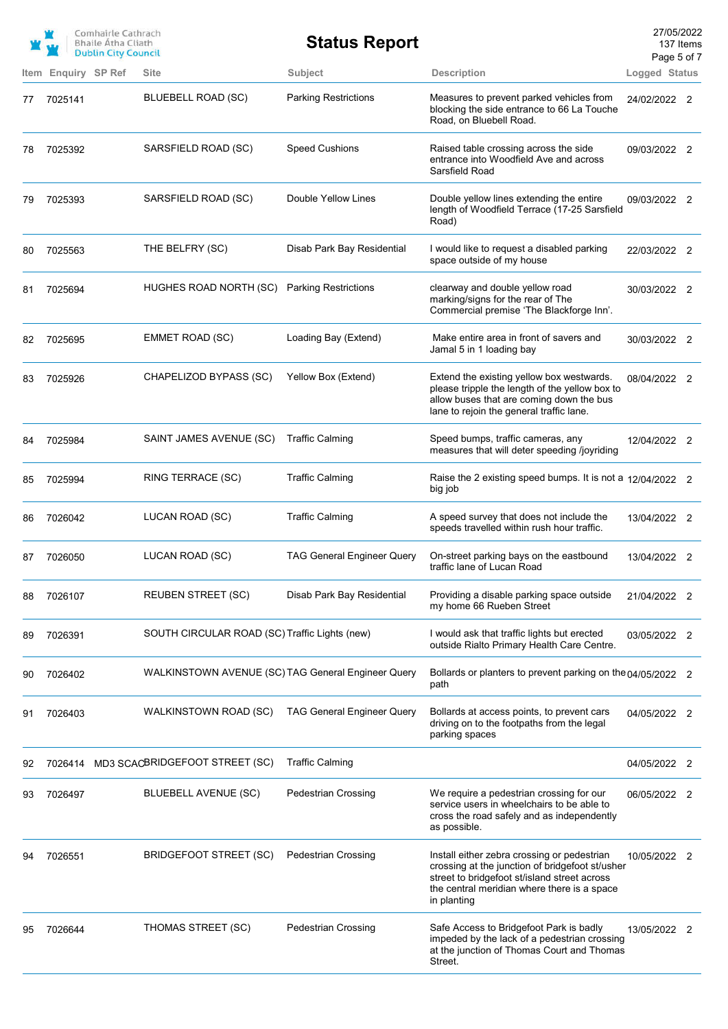|    |         | Comhairle Cathrach<br><b>Bhaile Atha Cliath</b><br><b>Dublin City Council</b> |                                                    | <b>Status Report</b>              |                                                                                                                                                                                                              | 27/05/2022<br>137 Items<br>Page 5 of 7 |  |
|----|---------|-------------------------------------------------------------------------------|----------------------------------------------------|-----------------------------------|--------------------------------------------------------------------------------------------------------------------------------------------------------------------------------------------------------------|----------------------------------------|--|
|    |         | Item Enquiry SP Ref                                                           | <b>Site</b>                                        | Subject                           | <b>Description</b>                                                                                                                                                                                           | Logged Status                          |  |
| 77 | 7025141 |                                                                               | <b>BLUEBELL ROAD (SC)</b>                          | <b>Parking Restrictions</b>       | Measures to prevent parked vehicles from<br>blocking the side entrance to 66 La Touche<br>Road, on Bluebell Road.                                                                                            | 24/02/2022 2                           |  |
| 78 | 7025392 |                                                                               | SARSFIELD ROAD (SC)                                | <b>Speed Cushions</b>             | Raised table crossing across the side<br>entrance into Woodfield Ave and across<br>Sarsfield Road                                                                                                            | 09/03/2022 2                           |  |
| 79 | 7025393 |                                                                               | SARSFIELD ROAD (SC)                                | Double Yellow Lines               | Double yellow lines extending the entire<br>length of Woodfield Terrace (17-25 Sarsfield<br>Road)                                                                                                            | 09/03/2022 2                           |  |
| 80 | 7025563 |                                                                               | THE BELFRY (SC)                                    | Disab Park Bay Residential        | I would like to request a disabled parking<br>space outside of my house                                                                                                                                      | 22/03/2022 2                           |  |
| 81 | 7025694 |                                                                               | HUGHES ROAD NORTH (SC)                             | <b>Parking Restrictions</b>       | clearway and double yellow road<br>marking/signs for the rear of The<br>Commercial premise 'The Blackforge Inn'.                                                                                             | 30/03/2022 2                           |  |
| 82 | 7025695 |                                                                               | EMMET ROAD (SC)                                    | Loading Bay (Extend)              | Make entire area in front of savers and<br>Jamal 5 in 1 loading bay                                                                                                                                          | 30/03/2022 2                           |  |
| 83 | 7025926 |                                                                               | CHAPELIZOD BYPASS (SC)                             | Yellow Box (Extend)               | Extend the existing yellow box westwards.<br>please tripple the length of the yellow box to<br>allow buses that are coming down the bus<br>lane to rejoin the general traffic lane.                          | 08/04/2022 2                           |  |
| 84 | 7025984 |                                                                               | SAINT JAMES AVENUE (SC)                            | <b>Traffic Calming</b>            | Speed bumps, traffic cameras, any<br>measures that will deter speeding /joyriding                                                                                                                            | 12/04/2022 2                           |  |
| 85 | 7025994 |                                                                               | RING TERRACE (SC)                                  | <b>Traffic Calming</b>            | Raise the 2 existing speed bumps. It is not a 12/04/2022 2<br>big job                                                                                                                                        |                                        |  |
| 86 | 7026042 |                                                                               | LUCAN ROAD (SC)                                    | <b>Traffic Calming</b>            | A speed survey that does not include the<br>speeds travelled within rush hour traffic.                                                                                                                       | 13/04/2022 2                           |  |
| 87 | 7026050 |                                                                               | LUCAN ROAD (SC)                                    | <b>TAG General Engineer Query</b> | On-street parking bays on the eastbound<br>traffic lane of Lucan Road                                                                                                                                        | 13/04/2022 2                           |  |
| 88 | 7026107 |                                                                               | <b>REUBEN STREET (SC)</b>                          | Disab Park Bay Residential        | Providing a disable parking space outside<br>my home 66 Rueben Street                                                                                                                                        | 21/04/2022 2                           |  |
| 89 | 7026391 |                                                                               | SOUTH CIRCULAR ROAD (SC) Traffic Lights (new)      |                                   | I would ask that traffic lights but erected<br>outside Rialto Primary Health Care Centre.                                                                                                                    | 03/05/2022 2                           |  |
| 90 | 7026402 |                                                                               | WALKINSTOWN AVENUE (SC) TAG General Engineer Query |                                   | Bollards or planters to prevent parking on the 04/05/2022 2<br>path                                                                                                                                          |                                        |  |
| 91 | 7026403 |                                                                               | <b>WALKINSTOWN ROAD (SC)</b>                       | <b>TAG General Engineer Query</b> | Bollards at access points, to prevent cars<br>driving on to the footpaths from the legal<br>parking spaces                                                                                                   | 04/05/2022 2                           |  |
| 92 | 7026414 |                                                                               | MD3 SCACBRIDGEFOOT STREET (SC)                     | <b>Traffic Calming</b>            |                                                                                                                                                                                                              | 04/05/2022 2                           |  |
| 93 | 7026497 |                                                                               | <b>BLUEBELL AVENUE (SC)</b>                        | <b>Pedestrian Crossing</b>        | We require a pedestrian crossing for our<br>service users in wheelchairs to be able to<br>cross the road safely and as independently<br>as possible.                                                         | 06/05/2022 2                           |  |
| 94 | 7026551 |                                                                               | BRIDGEFOOT STREET (SC)                             | <b>Pedestrian Crossing</b>        | Install either zebra crossing or pedestrian<br>crossing at the junction of bridgefoot st/usher<br>street to bridgefoot st/island street across<br>the central meridian where there is a space<br>in planting | 10/05/2022 2                           |  |
| 95 | 7026644 |                                                                               | THOMAS STREET (SC)                                 | <b>Pedestrian Crossing</b>        | Safe Access to Bridgefoot Park is badly<br>impeded by the lack of a pedestrian crossing<br>at the junction of Thomas Court and Thomas<br>Street.                                                             | 13/05/2022 2                           |  |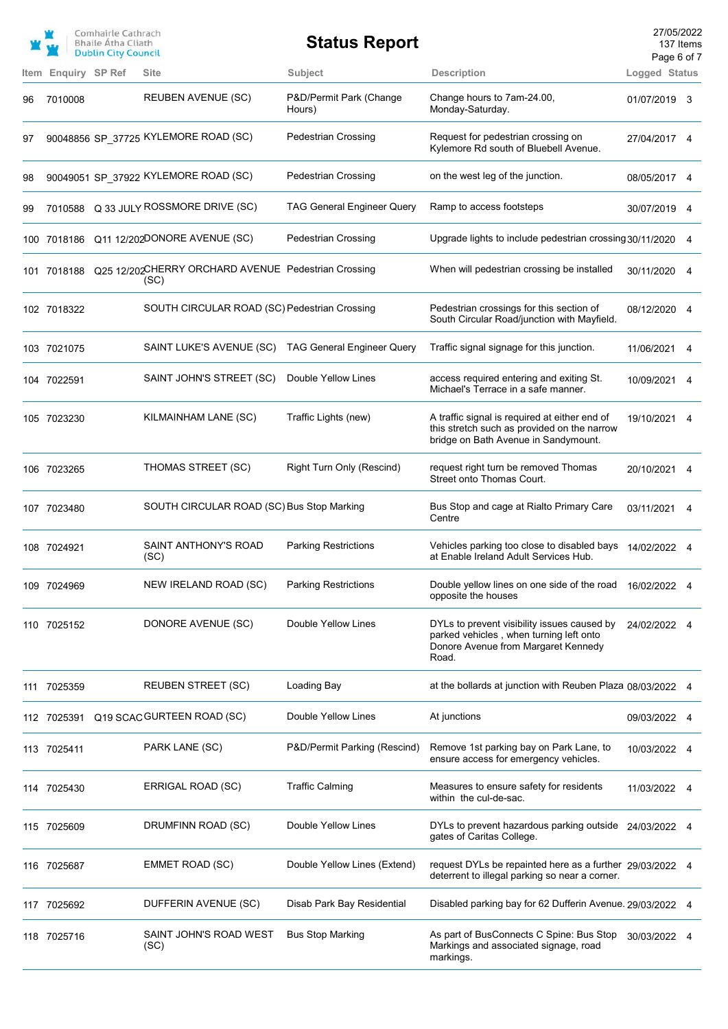|      |                | Comhairle Cathrach<br><b>Bhaile Atha Cliath</b><br><b>Dublin City Council</b> |                                                                         | <b>Status Report</b>              |                                                                                                                                        | 27/05/2022<br>Page 6 of 7 | 137 Items |
|------|----------------|-------------------------------------------------------------------------------|-------------------------------------------------------------------------|-----------------------------------|----------------------------------------------------------------------------------------------------------------------------------------|---------------------------|-----------|
| Item | Enquiry SP Ref |                                                                               | <b>Site</b>                                                             | <b>Subject</b>                    | <b>Description</b>                                                                                                                     | Logged Status             |           |
| 96   | 7010008        |                                                                               | <b>REUBEN AVENUE (SC)</b>                                               | P&D/Permit Park (Change<br>Hours) | Change hours to 7am-24.00,<br>Monday-Saturday.                                                                                         | 01/07/2019 3              |           |
| 97   |                |                                                                               | 90048856 SP_37725 KYLEMORE ROAD (SC)                                    | <b>Pedestrian Crossing</b>        | Request for pedestrian crossing on<br>Kylemore Rd south of Bluebell Avenue.                                                            | 27/04/2017 4              |           |
| 98   |                |                                                                               | 90049051 SP_37922 KYLEMORE ROAD (SC)                                    | Pedestrian Crossing               | on the west leg of the junction.                                                                                                       | 08/05/2017 4              |           |
| 99   | 7010588        |                                                                               | Q 33 JULY ROSSMORE DRIVE (SC)                                           | <b>TAG General Engineer Query</b> | Ramp to access footsteps                                                                                                               | 30/07/2019                | 4         |
|      |                |                                                                               | 100 7018186 Q11 12/202DONORE AVENUE (SC)                                | <b>Pedestrian Crossing</b>        | Upgrade lights to include pedestrian crossing 30/11/2020                                                                               |                           | 4         |
|      |                |                                                                               | 101 7018188 Q25 12/202CHERRY ORCHARD AVENUE Pedestrian Crossing<br>(SC) |                                   | When will pedestrian crossing be installed                                                                                             | 30/11/2020                | 4         |
|      | 102 7018322    |                                                                               | SOUTH CIRCULAR ROAD (SC) Pedestrian Crossing                            |                                   | Pedestrian crossings for this section of<br>South Circular Road/junction with Mayfield.                                                | 08/12/2020                | 4         |
|      | 103 7021075    |                                                                               | SAINT LUKE'S AVENUE (SC)                                                | <b>TAG General Engineer Query</b> | Traffic signal signage for this junction.                                                                                              | 11/06/2021                | 4         |
|      | 104 7022591    |                                                                               | SAINT JOHN'S STREET (SC)                                                | Double Yellow Lines               | access required entering and exiting St.<br>Michael's Terrace in a safe manner.                                                        | 10/09/2021                | 4         |
|      | 105 7023230    |                                                                               | KILMAINHAM LANE (SC)                                                    | Traffic Lights (new)              | A traffic signal is required at either end of<br>this stretch such as provided on the narrow<br>bridge on Bath Avenue in Sandymount.   | 19/10/2021 4              |           |
|      | 106 7023265    |                                                                               | THOMAS STREET (SC)                                                      | Right Turn Only (Rescind)         | request right turn be removed Thomas<br>Street onto Thomas Court.                                                                      | 20/10/2021                | 4         |
|      | 107 7023480    |                                                                               | SOUTH CIRCULAR ROAD (SC) Bus Stop Marking                               |                                   | Bus Stop and cage at Rialto Primary Care<br>Centre                                                                                     | 03/11/2021                |           |
|      | 108 7024921    |                                                                               | SAINT ANTHONY'S ROAD<br>(SC)                                            | <b>Parking Restrictions</b>       | Vehicles parking too close to disabled bays<br>at Enable Ireland Adult Services Hub.                                                   | 14/02/2022 4              |           |
|      | 109 7024969    |                                                                               | NEW IRELAND ROAD (SC)                                                   | <b>Parking Restrictions</b>       | Double yellow lines on one side of the road<br>opposite the houses                                                                     | 16/02/2022                |           |
|      | 110 7025152    |                                                                               | DONORE AVENUE (SC)                                                      | Double Yellow Lines               | DYLs to prevent visibility issues caused by<br>parked vehicles, when turning left onto<br>Donore Avenue from Margaret Kennedy<br>Road. | 24/02/2022                |           |
|      | 111 7025359    |                                                                               | <b>REUBEN STREET (SC)</b>                                               | Loading Bay                       | at the bollards at junction with Reuben Plaza 08/03/2022 4                                                                             |                           |           |
|      | 112 7025391    |                                                                               | Q19 SCAC GURTEEN ROAD (SC)                                              | Double Yellow Lines               | At junctions                                                                                                                           | 09/03/2022 4              |           |
|      | 113 7025411    |                                                                               | PARK LANE (SC)                                                          | P&D/Permit Parking (Rescind)      | Remove 1st parking bay on Park Lane, to<br>ensure access for emergency vehicles.                                                       | 10/03/2022 4              |           |
|      | 114 7025430    |                                                                               | ERRIGAL ROAD (SC)                                                       | <b>Traffic Calming</b>            | Measures to ensure safety for residents<br>within the cul-de-sac.                                                                      | 11/03/2022 4              |           |
|      | 115 7025609    |                                                                               | DRUMFINN ROAD (SC)                                                      | Double Yellow Lines               | DYLs to prevent hazardous parking outside<br>gates of Caritas College.                                                                 | 24/03/2022 4              |           |
|      | 116 7025687    |                                                                               | EMMET ROAD (SC)                                                         | Double Yellow Lines (Extend)      | request DYLs be repainted here as a further 29/03/2022 4<br>deterrent to illegal parking so near a corner.                             |                           |           |
|      | 117 7025692    |                                                                               | DUFFERIN AVENUE (SC)                                                    | Disab Park Bay Residential        | Disabled parking bay for 62 Dufferin Avenue. 29/03/2022 4                                                                              |                           |           |
|      | 118 7025716    |                                                                               | SAINT JOHN'S ROAD WEST<br>(SC)                                          | <b>Bus Stop Marking</b>           | As part of BusConnects C Spine: Bus Stop<br>Markings and associated signage, road<br>markings.                                         | 30/03/2022 4              |           |